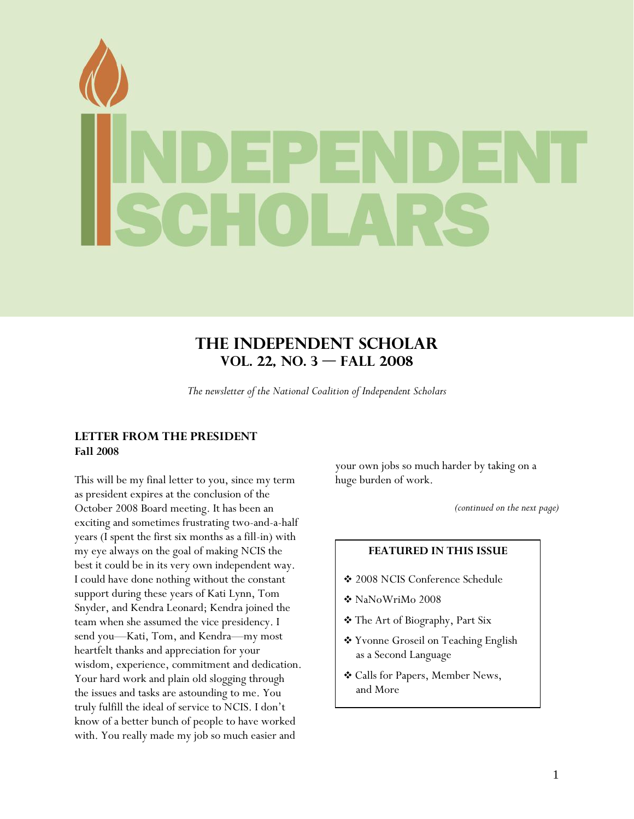<span id="page-0-0"></span>

# **The Independent Scholar Vol. 22, No. 3 — FALL 2008**

*The newsletter of the National Coalition of Independent Scholars* 

### **LETTER FROM THE PRESIDENT Fall 2008**

This will be my final letter to you, since my term as president expires at the conclusion of the October 2008 Board meeting. It has been an exciting and sometimes frustrating two-and-a-half years (I spent the first six months as a fill-in) with my eye always on the goal of making NCIS the best it could be in its very own independent way. I could have done nothing without the constant support during these years of Kati Lynn, Tom Snyder, and Kendra Leonard; Kendra joined the team when she assumed the vice presidency. I send you—Kati, Tom, and Kendra—my most heartfelt thanks and appreciation for your wisdom, experience, commitment and dedication. Your hard work and plain old slogging through the issues and tasks are astounding to me. You truly fulfill the ideal of service to NCIS. I don't know of a better bunch of people to have worked with. You really made my job so much easier and

your own jobs so much harder by taking on a huge burden of work.

*(continued on the next page)* 

### **FEATURED IN THIS ISSUE**

- 2008 NCIS Conference Schedule
- NaNoWriMo 2008
- The Art of Biography, Part Six
- Yvonne Groseil on Teaching English as a Second Language
- Calls for Papers, Member News, and More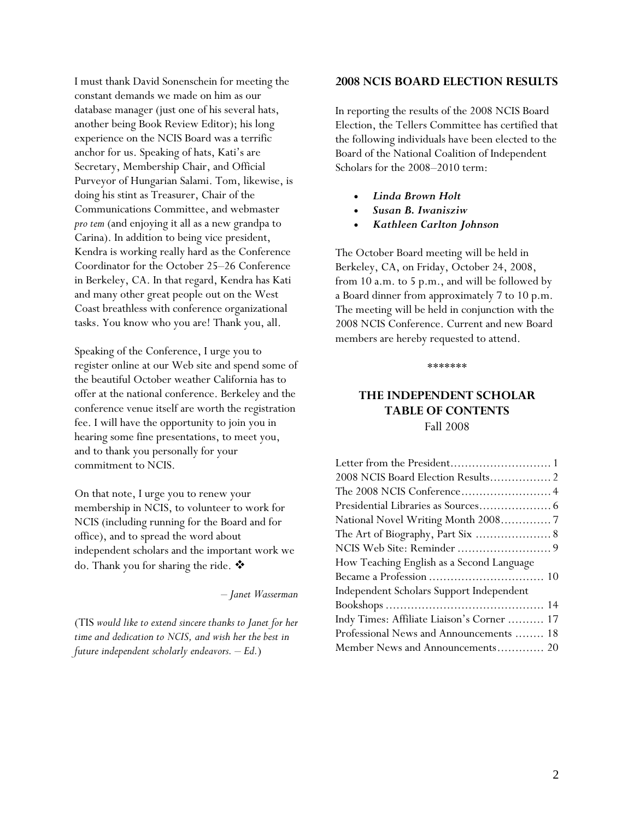<span id="page-1-0"></span>I must thank David Sonenschein for meeting the constant demands we made on him as our database manager (just one of his several hats, another being Book Review Editor); his long experience on the NCIS Board was a terrific anchor for us. Speaking of hats, Kati's are Secretary, Membership Chair, and Official Purveyor of Hungarian Salami. Tom, likewise, is doing his stint as Treasurer, Chair of the Communications Committee, and webmaster *pro tem* (and enjoying it all as a new grandpa to Carina). In addition to being vice president, Kendra is working really hard as the Conference Coordinator for the October 25–26 Conference in Berkeley, CA. In that regard, Kendra has Kati and many other great people out on the West Coast breathless with conference organizational tasks. You know who you are! Thank you, all.

Speaking of the Conference, I urge you to register online at our Web site and spend some of the beautiful October weather California has to offer at the national conference. Berkeley and the conference venue itself are worth the registration fee. I will have the opportunity to join you in hearing some fine presentations, to meet you, and to thank you personally for your commitment to NCIS.

On that note, I urge you to renew your membership in NCIS, to volunteer to work for NCIS (including running for the Board and for office), and to spread the word about independent scholars and the important work we do. Thank you for sharing the ride. ❖

*– Janet Wasserman* 

(TIS *would like to extend sincere thanks to Janet for her time and dedication to NCIS, and wish her the best in future independent scholarly endeavors. – Ed.*)

#### **2008 NCIS BOARD ELECTION RESULTS**

In reporting the results of the 2008 NCIS Board Election, the Tellers Committee has certified that the following individuals have been elected to the Board of the National Coalition of Independent Scholars for the 2008–2010 term:

- *Linda Brown Holt*
- *Susan B. Iwanisziw*
- *Kathleen Carlton Johnson*

The October Board meeting will be held in Berkeley, CA, on Friday, October 24, 2008, from 10 a.m. to 5 p.m., and will be followed by a Board dinner from approximately 7 to 10 p.m. The meeting will be held in conjunction with the 2008 NCIS Conference. Current and new Board members are hereby requested to attend.

\*\*\*\*\*\*\*

## **THE INDEPENDENT SCHOLAR TABLE OF CONTENTS**  Fall 2008

| How Teaching English as a Second Language  |
|--------------------------------------------|
|                                            |
| Independent Scholars Support Independent   |
|                                            |
| Indy Times: Affiliate Liaison's Corner  17 |
| Professional News and Announcements  18    |
| Member News and Announcements 20           |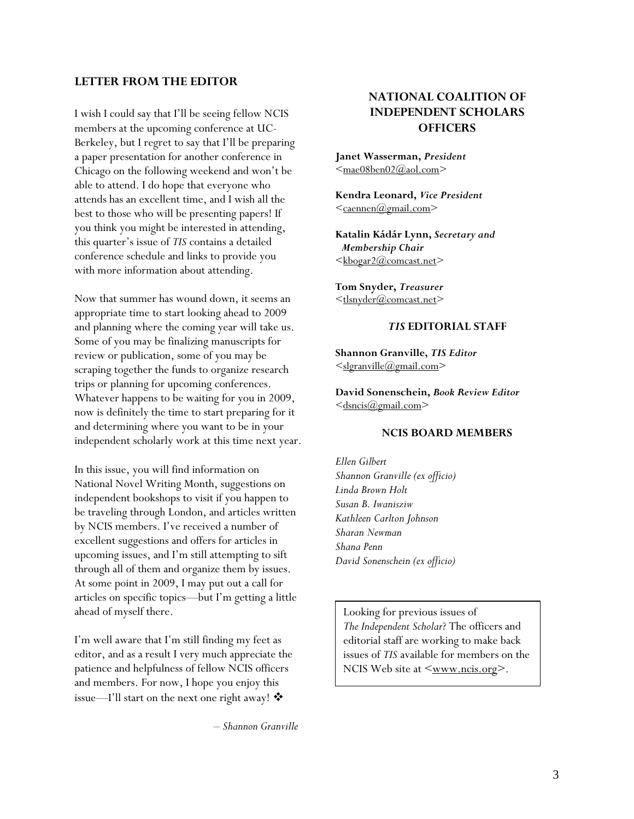### **LETTER FROM THE EDITOR**

I wish I could say that I'll be seeing fellow NCIS members at the upcoming conference at UC-Berkeley, but I regret to say that I'll be preparing a paper presentation for another conference in Chicago on the following weekend and won't be able to attend. I do hope that everyone who attends has an excellent time, and I wish all the best to those who will be presenting papers! If you think you might be interested in attending, this quarter's issue of *TIS* contains a detailed conference schedule and links to provide you with more information about attending.

Now that summer has wound down, it seems an appropriate time to start looking ahead to 2009 and planning where the coming year will take us. Some of you may be finalizing manuscripts for review or publication, some of you may be scraping together the funds to organize research trips or planning for upcoming conferences. Whatever happens to be waiting for you in 2009, now is definitely the time to start preparing for it and determining where you want to be in your independent scholarly work at this time next year.

In this issue, you will find information on National Novel Writing Month, suggestions on independent bookshops to visit if you happen to be traveling through London, and articles written by NCIS members. I've received a number of excellent suggestions and offers for articles in upcoming issues, and I'm still attempting to sift through all of them and organize them by issues. At some point in 2009, I may put out a call for articles on specific topics—but I'm getting a little ahead of myself there.

I'm well aware that I'm still finding my feet as editor, and as a result I very much appreciate the patience and helpfulness of fellow NCIS officers and members. For now, I hope you enjoy this issue—I'll start on the next one right away!

– *Shannon Granville*

## **NATIONAL COALITION OF INDEPENDENT SCHOLARS OFFICERS**

**Janet Wasserman,** *President*  $\leq$ mae08ben02@aol.com>

**Kendra Leonard,** *Vice President*  $\leq$ caennen@gmail.com>

**Katalin Kádár Lynn,** *Secretary and Membership Chair*  <kbogar2@comcast.net>

**Tom Snyder,** *Treasurer* <tlsnyder@comcast.net>

#### *TIS* **EDITORIAL STAFF**

**Shannon Granville,** *TIS Editor* <slgranville@gmail.com>

**David Sonenschein,** *Book Review Editor*  $\leq$ dsncis $\omega$ gmail.com>

#### **NCIS BOARD MEMBERS**

*Ellen Gilbert Shannon Granville (ex officio) Linda Brown Holt Susan B. Iwanisziw Kathleen Carlton Johnson Sharan Newman Shana Penn David Sonenschein (ex officio)* 

Looking for previous issues of *The Independent Scholar*? The officers and editorial staff are working to make back issues of *TIS* available for members on the NCIS Web site at  $\leq$  www.ncis.org>.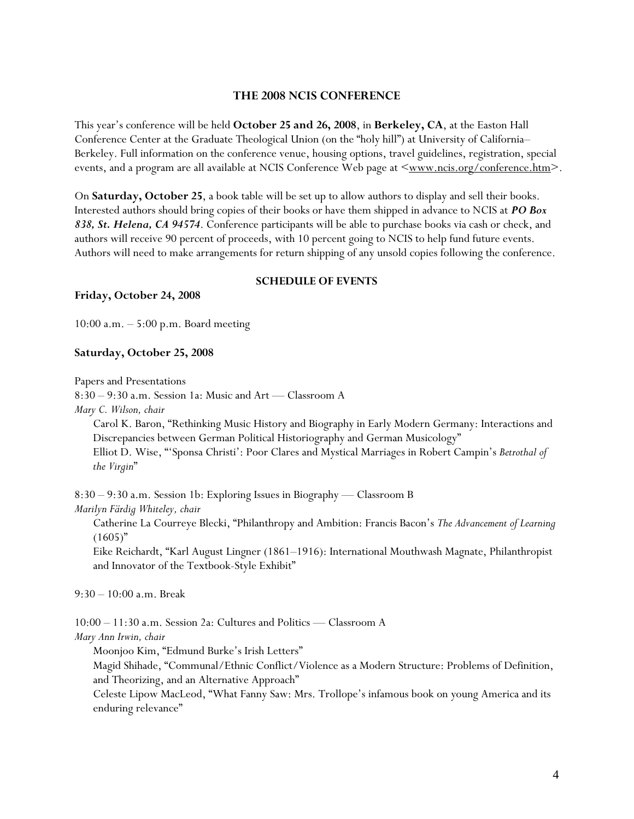### **THE 2008 NCIS CONFERENCE**

<span id="page-3-0"></span>This year's conference will be held **October 25 and 26, 2008**, in **Berkeley, CA**, at the Easton Hall Conference Center at the Graduate Theological Union (on the "holy hill") at University of California– Berkeley. Full information on the conference venue, housing options, travel guidelines, registration, special events, and a program are all available at NCIS Conference Web page at  $\leq_{\text{www.ncis.org/confidence.htm}}$ .

On **Saturday, October 25**, a book table will be set up to allow authors to display and sell their books. Interested authors should bring copies of their books or have them shipped in advance to NCIS at *PO Box 838, St. Helena, CA 94574*. Conference participants will be able to purchase books via cash or check, and authors will receive 90 percent of proceeds, with 10 percent going to NCIS to help fund future events. Authors will need to make arrangements for return shipping of any unsold copies following the conference.

#### **SCHEDULE OF EVENTS**

### **Friday, October 24, 2008**

10:00 a.m. – 5:00 p.m. Board meeting

#### **Saturday, October 25, 2008**

Papers and Presentations

8:30 – 9:30 a.m. Session 1a: Music and Art — Classroom A

*Mary C. Wilson, chair* 

Carol K. Baron, "Rethinking Music History and Biography in Early Modern Germany: Interactions and Discrepancies between German Political Historiography and German Musicology" Elliot D. Wise, "'Sponsa Christi': Poor Clares and Mystical Marriages in Robert Campin's *Betrothal of the Virgin*"

8:30 – 9:30 a.m. Session 1b: Exploring Issues in Biography — Classroom B

*Marilyn Färdig Whiteley, chair* 

Catherine La Courreye Blecki, "Philanthropy and Ambition: Francis Bacon's *The Advancement of Learning*  $(1605)$ "

Eike Reichardt, "Karl August Lingner (1861–1916): International Mouthwash Magnate, Philanthropist and Innovator of the Textbook-Style Exhibit"

9:30 – 10:00 a.m. Break

10:00 – 11:30 a.m. Session 2a: Cultures and Politics — Classroom A

*Mary Ann Irwin, chair* 

Moonjoo Kim, "Edmund Burke's Irish Letters"

Magid Shihade, "Communal/Ethnic Conflict/Violence as a Modern Structure: Problems of Definition, and Theorizing, and an Alternative Approach"

Celeste Lipow MacLeod, "What Fanny Saw: Mrs. Trollope's infamous book on young America and its enduring relevance"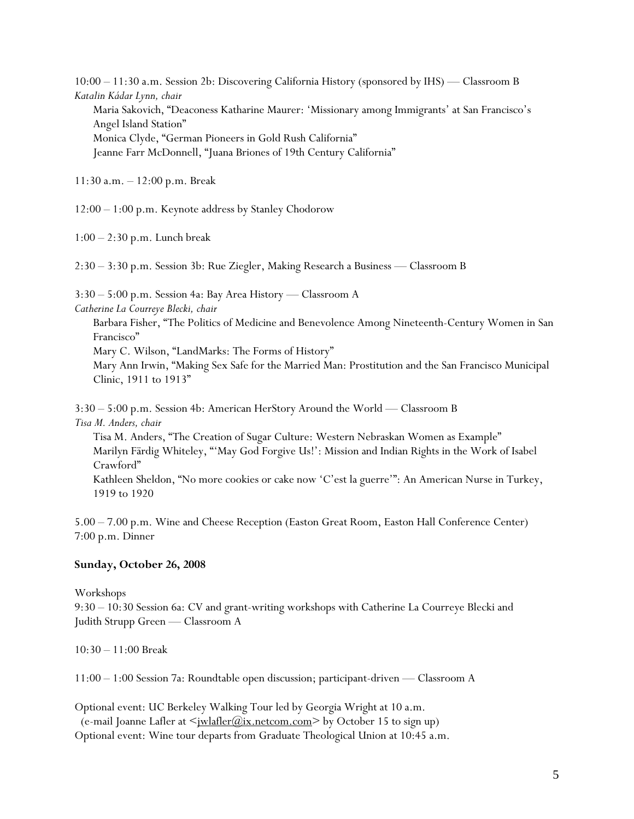10:00 – 11:30 a.m. Session 2b: Discovering California History (sponsored by IHS) — Classroom B *Katalin Kádar Lynn, chair*  Maria Sakovich, "Deaconess Katharine Maurer: 'Missionary among Immigrants' at San Francisco's Angel Island Station" Monica Clyde, "German Pioneers in Gold Rush California" Jeanne Farr McDonnell, "Juana Briones of 19th Century California"

11:30 a.m. – 12:00 p.m. Break

12:00 – 1:00 p.m. Keynote address by Stanley Chodorow

1:00 – 2:30 p.m. Lunch break

2:30 – 3:30 p.m. Session 3b: Rue Ziegler, Making Research a Business — Classroom B

3:30 – 5:00 p.m. Session 4a: Bay Area History — Classroom A

*Catherine La Courreye Blecki, chair* 

Barbara Fisher, "The Politics of Medicine and Benevolence Among Nineteenth-Century Women in San Francisco"

Mary C. Wilson, "LandMarks: The Forms of History"

Mary Ann Irwin, "Making Sex Safe for the Married Man: Prostitution and the San Francisco Municipal Clinic, 1911 to 1913"

3:30 – 5:00 p.m. Session 4b: American HerStory Around the World — Classroom B *Tisa M. Anders, chair* 

Tisa M. Anders, "The Creation of Sugar Culture: Western Nebraskan Women as Example" Marilyn Färdig Whiteley, "'May God Forgive Us!': Mission and Indian Rights in the Work of Isabel Crawford"

Kathleen Sheldon, "No more cookies or cake now 'C'est la guerre'": An American Nurse in Turkey, 1919 to 1920

5.00 – 7.00 p.m. Wine and Cheese Reception (Easton Great Room, Easton Hall Conference Center) 7:00 p.m. Dinner

#### **Sunday, October 26, 2008**

#### Workshops

9:30 – 10:30 Session 6a: CV and grant-writing workshops with Catherine La Courreye Blecki and Judith Strupp Green — Classroom A

10:30 – 11:00 Break

11:00 – 1:00 Session 7a: Roundtable open discussion; participant-driven — Classroom A

Optional event: UC Berkeley Walking Tour led by Georgia Wright at 10 a.m.

(e-mail Joanne Lafler at  $\leq$ <u>iwlafler@ix.netcom.com</u>> by October 15 to sign up)

Optional event: Wine tour departs from Graduate Theological Union at 10:45 a.m.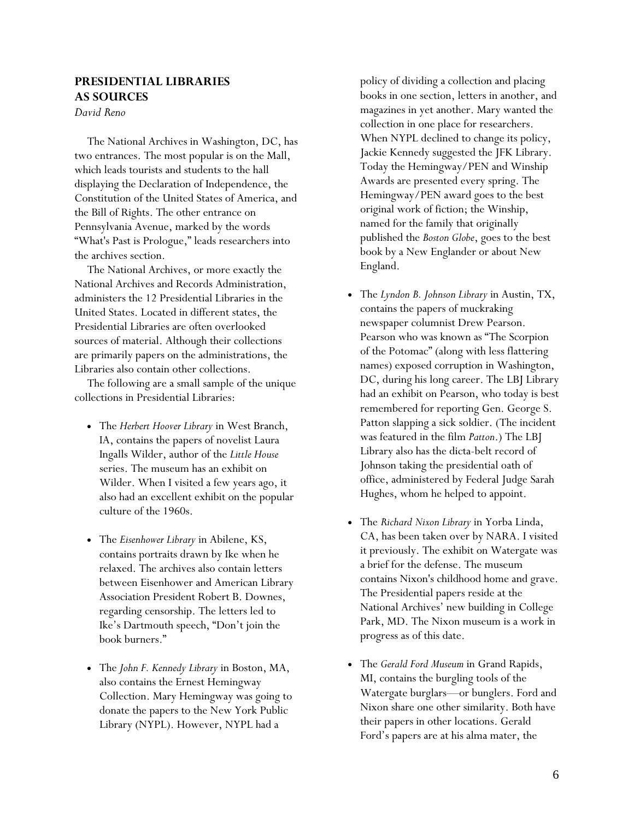## <span id="page-5-0"></span>**PRESIDENTIAL LIBRARIES AS SOURCES**

*David Reno* 

The National Archives in Washington, DC, has two entrances. The most popular is on the Mall, which leads tourists and students to the hall displaying the Declaration of Independence, the Constitution of the United States of America, and the Bill of Rights. The other entrance on Pennsylvania Avenue, marked by the words "What's Past is Prologue," leads researchers into the archives section.

The National Archives, or more exactly the National Archives and Records Administration, administers the 12 Presidential Libraries in the United States. Located in different states, the Presidential Libraries are often overlooked sources of material. Although their collections are primarily papers on the administrations, the Libraries also contain other collections.

The following are a small sample of the unique collections in Presidential Libraries:

- The *Herbert Hoover Library* in West Branch, IA, contains the papers of novelist Laura Ingalls Wilder, author of the *Little House* series. The museum has an exhibit on Wilder. When I visited a few years ago, it also had an excellent exhibit on the popular culture of the 1960s.
- The *Eisenhower Library* in Abilene, KS, contains portraits drawn by Ike when he relaxed. The archives also contain letters between Eisenhower and American Library Association President Robert B. Downes, regarding censorship. The letters led to Ike's Dartmouth speech, "Don't join the book burners."
- The *John F. Kennedy Library* in Boston, MA, also contains the Ernest Hemingway Collection. Mary Hemingway was going to donate the papers to the New York Public Library (NYPL). However, NYPL had a

policy of dividing a collection and placing books in one section, letters in another, and magazines in yet another. Mary wanted the collection in one place for researchers. When NYPL declined to change its policy, Jackie Kennedy suggested the JFK Library. Today the Hemingway/PEN and Winship Awards are presented every spring. The Hemingway/PEN award goes to the best original work of fiction; the Winship, named for the family that originally published the *Boston Globe*, goes to the best book by a New Englander or about New England.

- The *Lyndon B. Johnson Library* in Austin, TX, contains the papers of muckraking newspaper columnist Drew Pearson. Pearson who was known as "The Scorpion of the Potomac" (along with less flattering names) exposed corruption in Washington, DC, during his long career. The LBJ Library had an exhibit on Pearson, who today is best remembered for reporting Gen. George S. Patton slapping a sick soldier. (The incident was featured in the film *Patton*.) The LBJ Library also has the dicta-belt record of Johnson taking the presidential oath of office, administered by Federal Judge Sarah Hughes, whom he helped to appoint.
- The *Richard Nixon Library* in Yorba Linda, CA, has been taken over by NARA. I visited it previously. The exhibit on Watergate was a brief for the defense. The museum contains Nixon's childhood home and grave. The Presidential papers reside at the National Archives' new building in College Park, MD. The Nixon museum is a work in progress as of this date.
- The *Gerald Ford Museum* in Grand Rapids, MI, contains the burgling tools of the Watergate burglars—or bunglers. Ford and Nixon share one other similarity. Both have their papers in other locations. Gerald Ford's papers are at his alma mater, the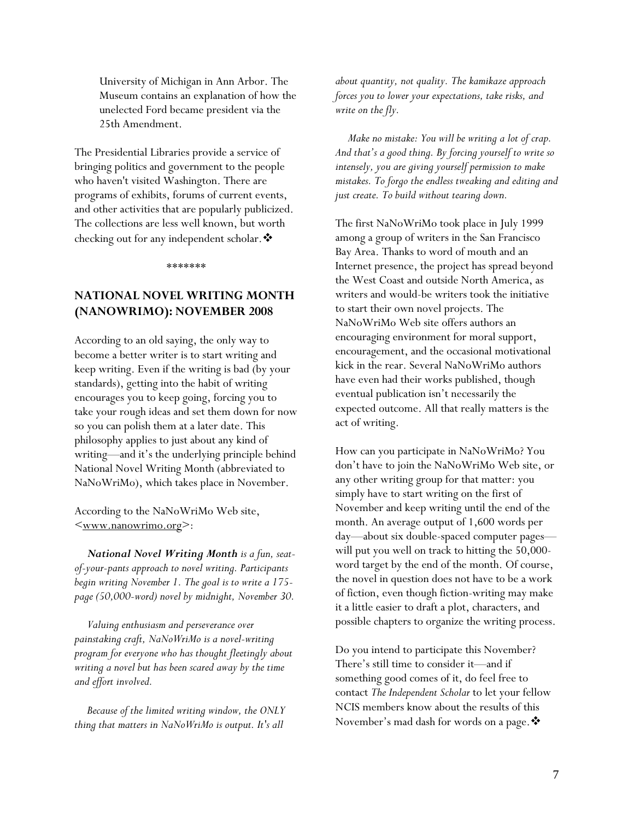<span id="page-6-0"></span>University of Michigan in Ann Arbor. The Museum contains an explanation of how the unelected Ford became president via the 25th Amendment.

The Presidential Libraries provide a service of bringing politics and government to the people who haven't visited Washington. There are programs of exhibits, forums of current events, and other activities that are popularly publicized. The collections are less well known, but worth checking out for any independent scholar.

\*\*\*\*\*\*\*

## **NATIONAL NOVEL WRITING MONTH (NANOWRIMO): NOVEMBER 2008**

According to an old saying, the only way to become a better writer is to start writing and keep writing. Even if the writing is bad (by your standards), getting into the habit of writing encourages you to keep going, forcing you to take your rough ideas and set them down for now so you can polish them at a later date. This philosophy applies to just about any kind of writing—and it's the underlying principle behind National Novel Writing Month (abbreviated to NaNoWriMo), which takes place in November.

According to the NaNoWriMo Web site,  $\leq_{\text{WWW}}$ .nanowrimo.org>:

*National Novel Writing Month is a fun, seatof-your-pants approach to novel writing. Participants begin writing November 1. The goal is to write a 175 page (50,000-word) novel by midnight, November 30.* 

*Valuing enthusiasm and perseverance over painstaking craft, NaNoWriMo is a novel-writing program for everyone who has thought fleetingly about writing a novel but has been scared away by the time and effort involved.* 

*Because of the limited writing window, the ONLY thing that matters in NaNoWriMo is output. It's all* 

*about quantity, not quality. The kamikaze approach forces you to lower your expectations, take risks, and write on the fly.* 

*Make no mistake: You will be writing a lot of crap. And that's a good thing. By forcing yourself to write so intensely, you are giving yourself permission to make mistakes. To forgo the endless tweaking and editing and just create. To build without tearing down.* 

The first NaNoWriMo took place in July 1999 among a group of writers in the San Francisco Bay Area. Thanks to word of mouth and an Internet presence, the project has spread beyond the West Coast and outside North America, as writers and would-be writers took the initiative to start their own novel projects. The NaNoWriMo Web site offers authors an encouraging environment for moral support, encouragement, and the occasional motivational kick in the rear. Several NaNoWriMo authors have even had their works published, though eventual publication isn't necessarily the expected outcome. All that really matters is the act of writing.

How can you participate in NaNoWriMo? You don't have to join the NaNoWriMo Web site, or any other writing group for that matter: you simply have to start writing on the first of November and keep writing until the end of the month. An average output of 1,600 words per day—about six double-spaced computer pages will put you well on track to hitting the 50,000 word target by the end of the month. Of course, the novel in question does not have to be a work of fiction, even though fiction-writing may make it a little easier to draft a plot, characters, and possible chapters to organize the writing process.

Do you intend to participate this November? There's still time to consider it—and if something good comes of it, do feel free to contact *The Independent Scholar* to let your fellow NCIS members know about the results of this November's mad dash for words on a page. ❖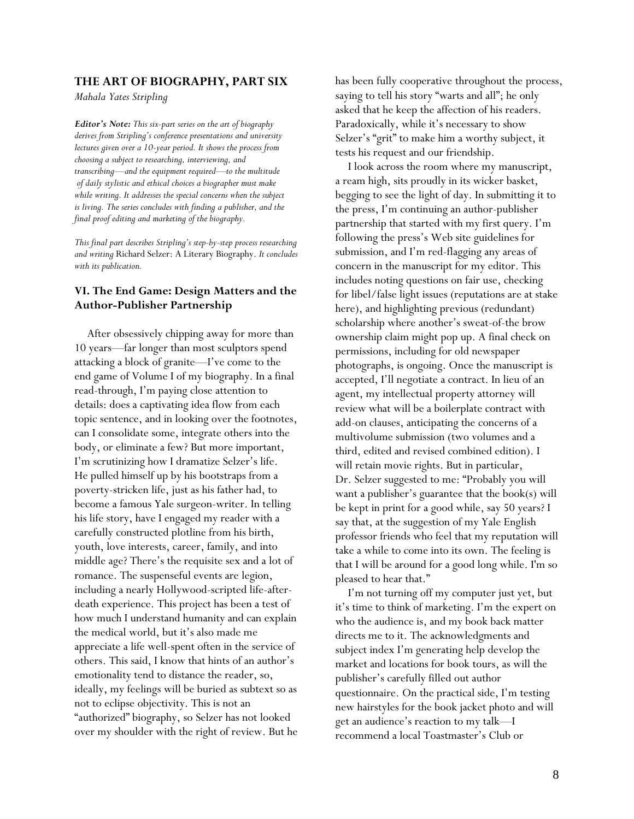## <span id="page-7-0"></span>**THE ART OF BIOGRAPHY, PART SIX**

*Mahala Yates Stripling* 

*Editor's Note: This six-part series on the art of biography derives from Stripling's conference presentations and university lectures given over a 10-year period. It shows the process from choosing a subject to researching, interviewing, and transcribing—and the equipment required—to the multitude of daily stylistic and ethical choices a biographer must make while writing. It addresses the special concerns when the subject is living. The series concludes with finding a publisher, and the final proof editing and marketing of the biography.* 

*This final part describes Stripling's step-by-step process researching and writing* Richard Selzer: A Literary Biography. *It concludes with its publication.* 

### **VI. The End Game: Design Matters and the Author-Publisher Partnership**

 After obsessively chipping away for more than 10 years—far longer than most sculptors spend attacking a block of granite—I've come to the end game of Volume I of my biography. In a final read-through, I'm paying close attention to details: does a captivating idea flow from each topic sentence, and in looking over the footnotes, can I consolidate some, integrate others into the body, or eliminate a few? But more important, I'm scrutinizing how I dramatize Selzer's life. He pulled himself up by his bootstraps from a poverty-stricken life, just as his father had, to become a famous Yale surgeon-writer. In telling his life story, have I engaged my reader with a carefully constructed plotline from his birth, youth, love interests, career, family, and into middle age? There's the requisite sex and a lot of romance. The suspenseful events are legion, including a nearly Hollywood-scripted life-afterdeath experience. This project has been a test of how much I understand humanity and can explain the medical world, but it's also made me appreciate a life well-spent often in the service of others. This said, I know that hints of an author's emotionality tend to distance the reader, so, ideally, my feelings will be buried as subtext so as not to eclipse objectivity. This is not an "authorized" biography, so Selzer has not looked over my shoulder with the right of review. But he has been fully cooperative throughout the process, saying to tell his story "warts and all"; he only asked that he keep the affection of his readers. Paradoxically, while it's necessary to show Selzer's "grit" to make him a worthy subject, it tests his request and our friendship.

 I look across the room where my manuscript, a ream high, sits proudly in its wicker basket, begging to see the light of day. In submitting it to the press, I'm continuing an author-publisher partnership that started with my first query. I'm following the press's Web site guidelines for submission, and I'm red-flagging any areas of concern in the manuscript for my editor. This includes noting questions on fair use, checking for libel/false light issues (reputations are at stake here), and highlighting previous (redundant) scholarship where another's sweat-of-the brow ownership claim might pop up. A final check on permissions, including for old newspaper photographs, is ongoing. Once the manuscript is accepted, I'll negotiate a contract. In lieu of an agent, my intellectual property attorney will review what will be a boilerplate contract with add-on clauses, anticipating the concerns of a multivolume submission (two volumes and a third, edited and revised combined edition). I will retain movie rights. But in particular, Dr. Selzer suggested to me: "Probably you will want a publisher's guarantee that the book(s) will be kept in print for a good while, say 50 years? I say that, at the suggestion of my Yale English professor friends who feel that my reputation will take a while to come into its own. The feeling is that I will be around for a good long while. I'm so pleased to hear that."

 I'm not turning off my computer just yet, but it's time to think of marketing. I'm the expert on who the audience is, and my book back matter directs me to it. The acknowledgments and subject index I'm generating help develop the market and locations for book tours, as will the publisher's carefully filled out author questionnaire. On the practical side, I'm testing new hairstyles for the book jacket photo and will get an audience's reaction to my talk—I recommend a local Toastmaster's Club or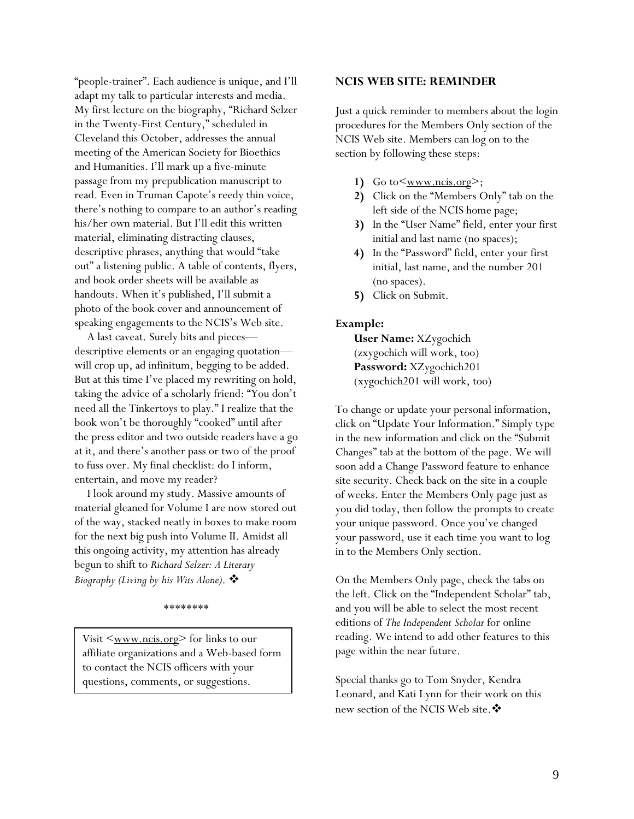<span id="page-8-0"></span>"people-trainer". Each audience is unique, and I'll adapt my talk to particular interests and media. My first lecture on the biography, "Richard Selzer in the Twenty-First Century," scheduled in Cleveland this October, addresses the annual meeting of the American Society for Bioethics and Humanities. I'll mark up a five-minute passage from my prepublication manuscript to read. Even in Truman Capote's reedy thin voice, there's nothing to compare to an author's reading his/her own material. But I'll edit this written material, eliminating distracting clauses, descriptive phrases, anything that would "take out" a listening public. A table of contents, flyers, and book order sheets will be available as handouts. When it's published, I'll submit a photo of the book cover and announcement of speaking engagements to the NCIS's Web site.

 A last caveat. Surely bits and pieces descriptive elements or an engaging quotation will crop up, ad infinitum, begging to be added. But at this time I've placed my rewriting on hold, taking the advice of a scholarly friend: "You don't need all the Tinkertoys to play." I realize that the book won't be thoroughly "cooked" until after the press editor and two outside readers have a go at it, and there's another pass or two of the proof to fuss over. My final checklist: do I inform, entertain, and move my reader?

 I look around my study. Massive amounts of material gleaned for Volume I are now stored out of the way, stacked neatly in boxes to make room for the next big push into Volume II. Amidst all this ongoing activity, my attention has already begun to shift to *Richard Selzer: A Literary Biography (Living by his Wits Alone)*.

#### \*\*\*\*\*\*\*\*

Visit <<u>www.ncis.org</u>> for links to our affiliate organizations and a Web-based form to contact the NCIS officers with your

#### **NCIS WEB SITE: REMINDER**

Just a quick reminder to members about the login procedures for the Members Only section of the NCIS Web site. Members can log on to the section by following these steps:

- 1) Go to  $\leq$  <u>www.ncis.org</u>>;
- **2)** Click on the "Members Only" tab on the left side of the NCIS home page;
- **3)** In the "User Name" field, enter your first initial and last name (no spaces);
- **4)** In the "Password" field, enter your first initial, last name, and the number 201 (no spaces).
- **5)** Click on Submit.

#### **Example:**

**User Name:** XZygochich (zxygochich will work, too) **Password:** XZygochich201 (xygochich201 will work, too)

To change or update your personal information, click on "Update Your Information." Simply type in the new information and click on the "Submit Changes" tab at the bottom of the page. We will soon add a Change Password feature to enhance site security. Check back on the site in a couple of weeks. Enter the Members Only page just as you did today, then follow the prompts to create your unique password. Once you've changed your password, use it each time you want to log in to the Members Only section.

On the Members Only page, check the tabs on the left. Click on the "Independent Scholar" tab, and you will be able to select the most recent editions of *The Independent Scholar* for online reading. We intend to add other features to this page within the near future.

questions, comments, or suggestions. Special thanks go to Tom Snyder, Kendra Leonard, and Kati Lynn for their work on this new section of the NCIS Web site. ❖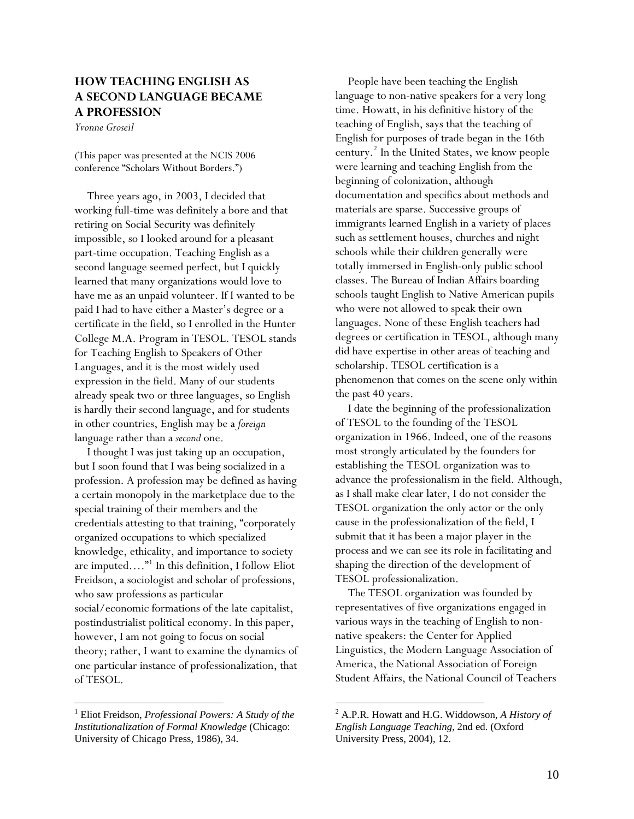## <span id="page-9-0"></span>**HOW TEACHING ENGLISH AS A SECOND LANGUAGE BECAME A PROFESSION**

*Yvonne Groseil* 

(This paper was presented at the NCIS 2006 conference "Scholars Without Borders.")

Three years ago, in 2003, I decided that working full-time was definitely a bore and that retiring on Social Security was definitely impossible, so I looked around for a pleasant part-time occupation. Teaching English as a second language seemed perfect, but I quickly learned that many organizations would love to have me as an unpaid volunteer. If I wanted to be paid I had to have either a Master's degree or a certificate in the field, so I enrolled in the Hunter College M.A. Program in TESOL. TESOL stands for Teaching English to Speakers of Other Languages, and it is the most widely used expression in the field. Many of our students already speak two or three languages, so English is hardly their second language, and for students in other countries, English may be a *foreign*  language rather than a *second* one.

I thought I was just taking up an occupation, but I soon found that I was being socialized in a profession. A profession may be defined as having a certain monopoly in the marketplace due to the special training of their members and the credentials attesting to that training, "corporately organized occupations to which specialized knowledge, ethicality, and importance to society are imputed...."<sup>[1](#page-9-1)</sup> In this definition, I follow Eliot Freidson, a sociologist and scholar of professions, who saw professions as particular social/economic formations of the late capitalist, postindustrialist political economy. In this paper, however, I am not going to focus on social theory; rather, I want to examine the dynamics of one particular instance of professionalization, that of TESOL.

<span id="page-9-1"></span> $\frac{1}{1}$  Eliot Freidson, *Professional Powers: A Study of the Institutionalization of Formal Knowledge* (Chicago: University of Chicago Press, 1986), 34.

People have been teaching the English language to non-native speakers for a very long time. Howatt, in his definitive history of the teaching of English, says that the teaching of English for purposes of trade began in the 16th century.<sup>[2](#page-9-1)</sup> In the United States, we know people were learning and teaching English from the beginning of colonization, although documentation and specifics about methods and materials are sparse. Successive groups of immigrants learned English in a variety of places such as settlement houses, churches and night schools while their children generally were totally immersed in English-only public school classes. The Bureau of Indian Affairs boarding schools taught English to Native American pupils who were not allowed to speak their own languages. None of these English teachers had degrees or certification in TESOL, although many did have expertise in other areas of teaching and scholarship. TESOL certification is a phenomenon that comes on the scene only within the past 40 years.

I date the beginning of the professionalization of TESOL to the founding of the TESOL organization in 1966. Indeed, one of the reasons most strongly articulated by the founders for establishing the TESOL organization was to advance the professionalism in the field. Although, as I shall make clear later, I do not consider the TESOL organization the only actor or the only cause in the professionalization of the field, I submit that it has been a major player in the process and we can see its role in facilitating and shaping the direction of the development of TESOL professionalization.

The TESOL organization was founded by representatives of five organizations engaged in various ways in the teaching of English to nonnative speakers: the Center for Applied Linguistics, the Modern Language Association of America, the National Association of Foreign Student Affairs, the National Council of Teachers

<sup>2</sup> A.P.R. Howatt and H.G. Widdowson, *A History of English Language Teaching*, 2nd ed. (Oxford University Press, 2004), 12.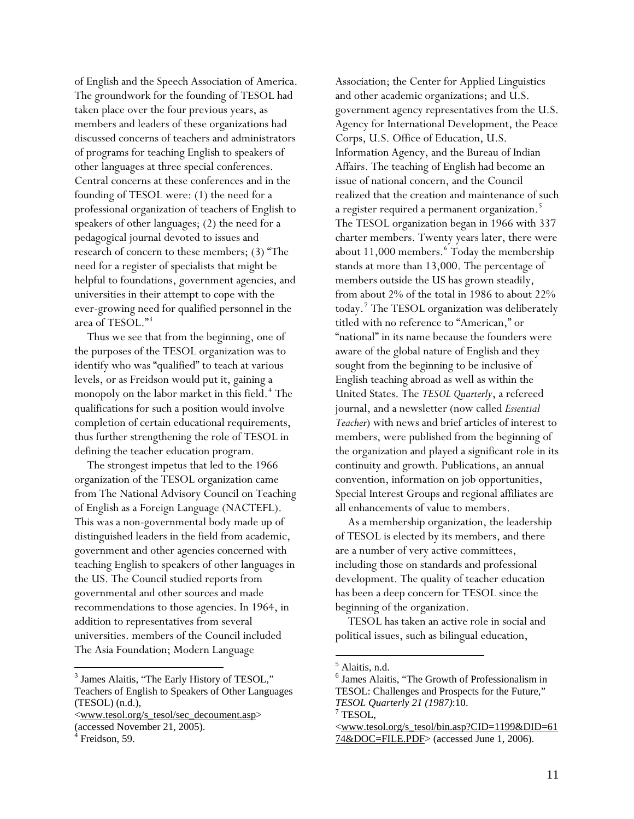of English and the Speech Association of America. The groundwork for the founding of TESOL had taken place over the four previous years, as members and leaders of these organizations had discussed concerns of teachers and administrators of programs for teaching English to speakers of other languages at three special conferences. Central concerns at these conferences and in the founding of TESOL were: (1) the need for a professional organization of teachers of English to speakers of other languages; (2) the need for a pedagogical journal devoted to issues and research of concern to these members; (3) "The need for a register of specialists that might be helpful to foundations, government agencies, and universities in their attempt to cope with the ever-growing need for qualified personnel in the area of TESOL."<sup>[3](#page-10-0)</sup>

Thus we see that from the beginning, one of the purposes of the TESOL organization was to identify who was "qualified" to teach at various levels, or as Freidson would put it, gaining a monopoly on the labor market in this field.<sup>[4](#page-10-1)</sup> The qualifications for such a position would involve completion of certain educational requirements, thus further strengthening the role of TESOL in defining the teacher education program.

The strongest impetus that led to the 1966 organization of the TESOL organization came from The National Advisory Council on Teaching of English as a Foreign Language (NACTEFL). This was a non-governmental body made up of distinguished leaders in the field from academic, government and other agencies concerned with teaching English to speakers of other languages in the US. The Council studied reports from governmental and other sources and made recommendations to those agencies. In 1964, in addition to representatives from several universities. members of the Council included The Asia Foundation; Modern Language

 $\overline{a}$ 

Association; the Center for Applied Linguistics and other academic organizations; and U.S. government agency representatives from the U.S. Agency for International Development, the Peace Corps, U.S. Office of Education, U.S. Information Agency, and the Bureau of Indian Affairs. The teaching of English had become an issue of national concern, and the Council realized that the creation and maintenance of such a register required a permanent organization.<sup>[5](#page-10-2)</sup> The TESOL organization began in 1966 with 337 charter members. Twenty years later, there were about 11,000 members.<sup>[6](#page-10-0)</sup> Today the membership stands at more than 13,000. The percentage of members outside the US has grown steadily, from about 2% of the total in 1986 to about 22% today.[7](#page-10-3) The TESOL organization was deliberately titled with no reference to "American," or "national" in its name because the founders were aware of the global nature of English and they sought from the beginning to be inclusive of English teaching abroad as well as within the United States. The *TESOL Quarterly*, a refereed journal, and a newsletter (now called *Essential Teacher*) with news and brief articles of interest to members, were published from the beginning of the organization and played a significant role in its continuity and growth. Publications, an annual convention, information on job opportunities, Special Interest Groups and regional affiliates are all enhancements of value to members.

As a membership organization, the leadership of TESOL is elected by its members, and there are a number of very active committees, including those on standards and professional development. The quality of teacher education has been a deep concern for TESOL since the beginning of the organization.

TESOL has taken an active role in social and political issues, such as bilingual education,

 $\overline{a}$ 

<span id="page-10-2"></span><span id="page-10-0"></span><sup>&</sup>lt;sup>3</sup> James Alaitis, "The Early History of TESOL," Teachers of English to Speakers of Other Languages (TESOL) (n.d.),

<span id="page-10-3"></span><sup>&</sup>lt;[www.tesol.org/s\\_tesol/sec\\_decoument.asp](http://www.tesol.org/s_tesol/sec_decoument.asp)>

<span id="page-10-1"></span><sup>(</sup>accessed November 21, 2005).

 $4$  Freidson, 59.

<sup>5</sup> Alaitis, n.d.

<sup>6</sup> James Alaitis, "The Growth of Professionalism in TESOL: Challenges and Prospects for the Future," *TESOL Quarterly 21 (1987)*:10. 7

 $7$  TESOL,

<sup>&</sup>lt;[www.tesol.org/s\\_tesol/bin.asp?CID=1199&DID=61](http://www.tesol.org/s_tesol/bin.asp?CID=1199&DID=6174&DOC=FILE.PDF) [74&DOC=FILE.PDF>](http://www.tesol.org/s_tesol/bin.asp?CID=1199&DID=6174&DOC=FILE.PDF) (accessed June 1, 2006).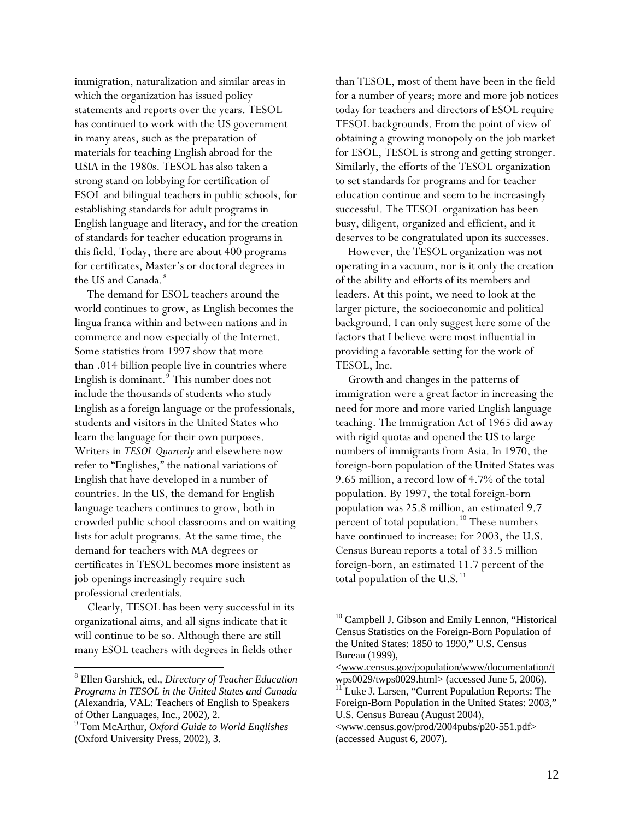immigration, naturalization and similar areas in which the organization has issued policy statements and reports over the years. TESOL has continued to work with the US government in many areas, such as the preparation of materials for teaching English abroad for the USIA in the 1980s. TESOL has also taken a strong stand on lobbying for certification of ESOL and bilingual teachers in public schools, for establishing standards for adult programs in English language and literacy, and for the creation of standards for teacher education programs in this field. Today, there are about 400 programs for certificates, Master's or doctoral degrees in the US and Canada.<sup>[8](#page-11-0)</sup>

The demand for ESOL teachers around the world continues to grow, as English becomes the lingua franca within and between nations and in commerce and now especially of the Internet. Some statistics from 1997 show that more than .014 billion people live in countries where English is dominant.<sup>[9](#page-11-1)</sup> This number does not include the thousands of students who study English as a foreign language or the professionals, students and visitors in the United States who learn the language for their own purposes. Writers in *TESOL Quarterly* and elsewhere now refer to "Englishes," the national variations of English that have developed in a number of countries. In the US, the demand for English language teachers continues to grow, both in crowded public school classrooms and on waiting lists for adult programs. At the same time, the demand for teachers with MA degrees or certificates in TESOL becomes more insistent as job openings increasingly require such professional credentials.

<span id="page-11-2"></span>Clearly, TESOL has been very successful in its organizational aims, and all signs indicate that it will continue to be so. Although there are still many ESOL teachers with degrees in fields other

 $\overline{a}$ 

than TESOL, most of them have been in the field for a number of years; more and more job notices today for teachers and directors of ESOL require TESOL backgrounds. From the point of view of obtaining a growing monopoly on the job market for ESOL, TESOL is strong and getting stronger. Similarly, the efforts of the TESOL organization to set standards for programs and for teacher education continue and seem to be increasingly successful. The TESOL organization has been busy, diligent, organized and efficient, and it deserves to be congratulated upon its successes.

However, the TESOL organization was not operating in a vacuum, nor is it only the creation of the ability and efforts of its members and leaders. At this point, we need to look at the larger picture, the socioeconomic and political background. I can only suggest here some of the factors that I believe were most influential in providing a favorable setting for the work of TESOL, Inc.

Growth and changes in the patterns of immigration were a great factor in increasing the need for more and more varied English language teaching. The Immigration Act of 1965 did away with rigid quotas and opened the US to large numbers of immigrants from Asia. In 1970, the foreign-born population of the United States was 9.65 million, a record low of 4.7% of the total population. By 1997, the total foreign-born population was 25.8 million, an estimated 9.7 percent of total population.<sup>[10](#page-11-2)</sup> These numbers have continued to increase: for 2003, the U.S. Census Bureau reports a total of 33.5 million foreign-born, an estimated 11.7 percent of the total population of the  $U.S.<sup>11</sup>$  $U.S.<sup>11</sup>$  $U.S.<sup>11</sup>$ 

 $\overline{a}$ 

<span id="page-11-3"></span><span id="page-11-0"></span><sup>8</sup> Ellen Garshick, ed., *Directory of Teacher Education Programs in TESOL in the United States and Canada*  (Alexandria, VAL: Teachers of English to Speakers of Other Languages, Inc., 2002), 2.

<span id="page-11-1"></span><sup>9</sup> Tom McArthur, *Oxford Guide to World Englishes* (Oxford University Press, 2002), 3.

<sup>&</sup>lt;sup>10</sup> Campbell J. Gibson and Emily Lennon, "Historical Census Statistics on the Foreign-Born Population of the United States: 1850 to 1990," U.S. Census Bureau (1999),

<sup>&</sup>lt;[www.census.gov/population/www/documentation/t](http://www.census.gov/population/www/documentation/twps0029/twps0029.html) [wps0029/twps0029.html>](http://www.census.gov/population/www/documentation/twps0029/twps0029.html) (accessed June 5, 2006).<br><sup>11</sup> Luke J. Larsen, "Current Population Reports: The

Foreign-Born Population in the United States: 2003," U.S. Census Bureau (August 2004),

<sup>&</sup>lt;[www.census.gov/prod/2004pubs/p20-551.pdf>](http://www.census.gov/prod/2004pubs/p20-551.pdf) (accessed August 6, 2007).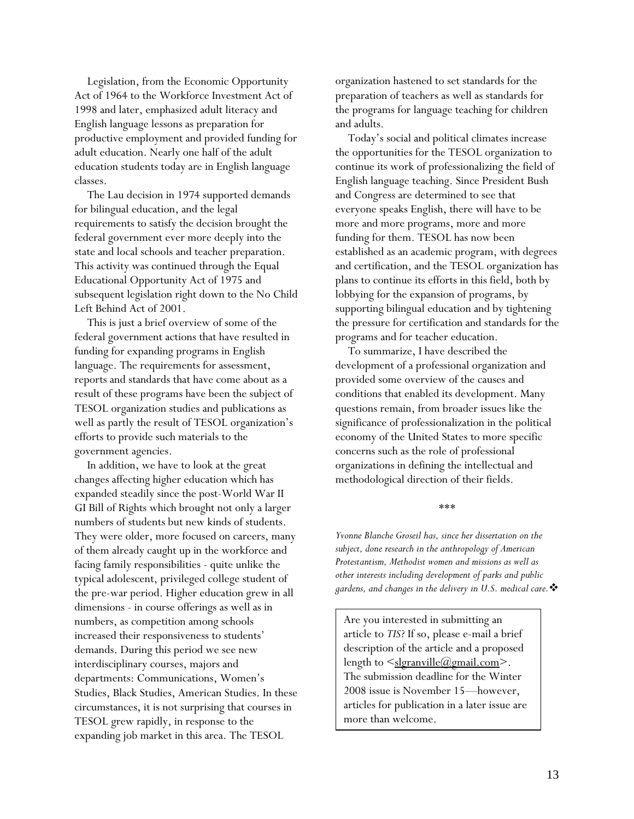Legislation, from the Economic Opportunity Act of 1964 to the Workforce Investment Act of 1998 and later, emphasized adult literacy and English language lessons as preparation for productive employment and provided funding for adult education. Nearly one half of the adult education students today are in English language classes.

The Lau decision in 1974 supported demands for bilingual education, and the legal requirements to satisfy the decision brought the federal government ever more deeply into the state and local schools and teacher preparation. This activity was continued through the Equal Educational Opportunity Act of 1975 and subsequent legislation right down to the No Child Left Behind Act of 2001.

This is just a brief overview of some of the federal government actions that have resulted in funding for expanding programs in English language. The requirements for assessment, reports and standards that have come about as a result of these programs have been the subject of TESOL organization studies and publications as well as partly the result of TESOL organization's efforts to provide such materials to the government agencies.

In addition, we have to look at the great changes affecting higher education which has expanded steadily since the post-World War II GI Bill of Rights which brought not only a larger numbers of students but new kinds of students. They were older, more focused on careers, many of them already caught up in the workforce and facing family responsibilities - quite unlike the typical adolescent, privileged college student of the pre-war period. Higher education grew in all dimensions - in course offerings as well as in numbers, as competition among schools increased their responsiveness to students' demands. During this period we see new interdisciplinary courses, majors and departments: Communications, Women's Studies, Black Studies, American Studies. In these circumstances, it is not surprising that courses in TESOL grew rapidly, in response to the expanding job market in this area. The TESOL

organization hastened to set standards for the preparation of teachers as well as standards for the programs for language teaching for children and adults.

Today's social and political climates increase the opportunities for the TESOL organization to continue its work of professionalizing the field of English language teaching. Since President Bush and Congress are determined to see that everyone speaks English, there will have to be more and more programs, more and more funding for them. TESOL has now been established as an academic program, with degrees and certification, and the TESOL organization has plans to continue its efforts in this field, both by lobbying for the expansion of programs, by supporting bilingual education and by tightening the pressure for certification and standards for the programs and for teacher education.

To summarize, I have described the development of a professional organization and provided some overview of the causes and conditions that enabled its development. Many questions remain, from broader issues like the significance of professionalization in the political economy of the United States to more specific concerns such as the role of professional organizations in defining the intellectual and methodological direction of their fields.

\*\*\*

*Yvonne Blanche Groseil has, since her dissertation on the subject, done research in the anthropology of American Protestantism, Methodist women and missions as well as other interests including development of parks and public gardens, and changes in the delivery in U.S. medical care.*

Are you interested in submitting an article to *TIS*? If so, please e-mail a brief description of the article and a proposed length to  $\leq$ slgranville $(a)$ gmail.com $>$ . The submission deadline for the Winter 2008 issue is November 15—however, articles for publication in a later issue are more than welcome.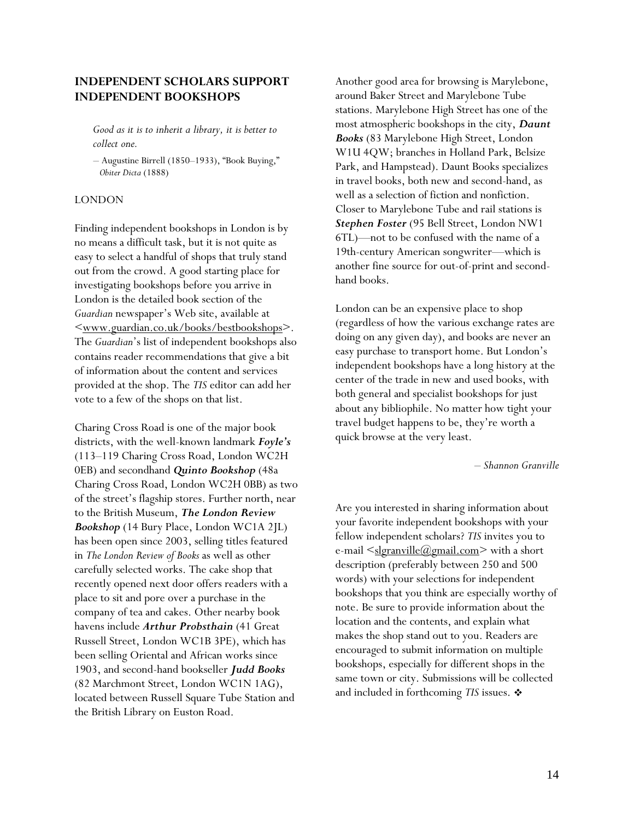## <span id="page-13-0"></span>**INDEPENDENT SCHOLARS SUPPORT INDEPENDENT BOOKSHOPS**

*Good as it is to inherit a library, it is better to collect one.* 

*–* Augustine Birrell (1850–1933), "Book Buying,"  *Obiter Dicta* (1888)

#### LONDON

Finding independent bookshops in London is by no means a difficult task, but it is not quite as easy to select a handful of shops that truly stand out from the crowd. A good starting place for investigating bookshops before you arrive in London is the detailed book section of the *Guardian* newspaper's Web site, available at [<www.guardian.co.uk/books/bestbookshops>](http://www.guardian.co.uk/books/bestbookshops). The *Guardian*'s list of independent bookshops also contains reader recommendations that give a bit of information about the content and services provided at the shop. The *TIS* editor can add her vote to a few of the shops on that list.

Charing Cross Road is one of the major book districts, with the well-known landmark *Foyle's* (113–119 Charing Cross Road, London WC2H 0EB) and secondhand *Quinto Bookshop* (48a Charing Cross Road, London WC2H 0BB) as two of the street's flagship stores. Further north, near to the British Museum, *The London Review Bookshop* (14 Bury Place, London WC1A 2JL) has been open since 2003, selling titles featured in *The London Review of Books* as well as other carefully selected works. The cake shop that recently opened next door offers readers with a place to sit and pore over a purchase in the company of tea and cakes. Other nearby book havens include *Arthur Probsthain* (41 Great Russell Street, London WC1B 3PE), which has been selling Oriental and African works since 1903, and second-hand bookseller *Judd Books* (82 Marchmont Street, London WC1N 1AG), located between Russell Square Tube Station and the British Library on Euston Road.

Another good area for browsing is Marylebone, around Baker Street and Marylebone Tube stations. Marylebone High Street has one of the most atmospheric bookshops in the city, *Daunt Books* (83 Marylebone High Street, London W1U 4QW; branches in Holland Park, Belsize Park, and Hampstead). Daunt Books specializes in travel books, both new and second-hand, as well as a selection of fiction and nonfiction. Closer to Marylebone Tube and rail stations is *Stephen Foster* (95 Bell Street, London NW1 6TL)—not to be confused with the name of a 19th-century American songwriter—which is another fine source for out-of-print and secondhand books.

London can be an expensive place to shop (regardless of how the various exchange rates are doing on any given day), and books are never an easy purchase to transport home. But London's independent bookshops have a long history at the center of the trade in new and used books, with both general and specialist bookshops for just about any bibliophile. No matter how tight your travel budget happens to be, they're worth a quick browse at the very least.

*– Shannon Granville* 

Are you interested in sharing information about your favorite independent bookshops with your fellow independent scholars? *TIS* invites you to e-mail  $\leq$ slgranville@gmail.com> with a short description (preferably between 250 and 500 words) with your selections for independent bookshops that you think are especially worthy of note. Be sure to provide information about the location and the contents, and explain what makes the shop stand out to you. Readers are encouraged to submit information on multiple bookshops, especially for different shops in the same town or city. Submissions will be collected and included in forthcoming *TIS* issues.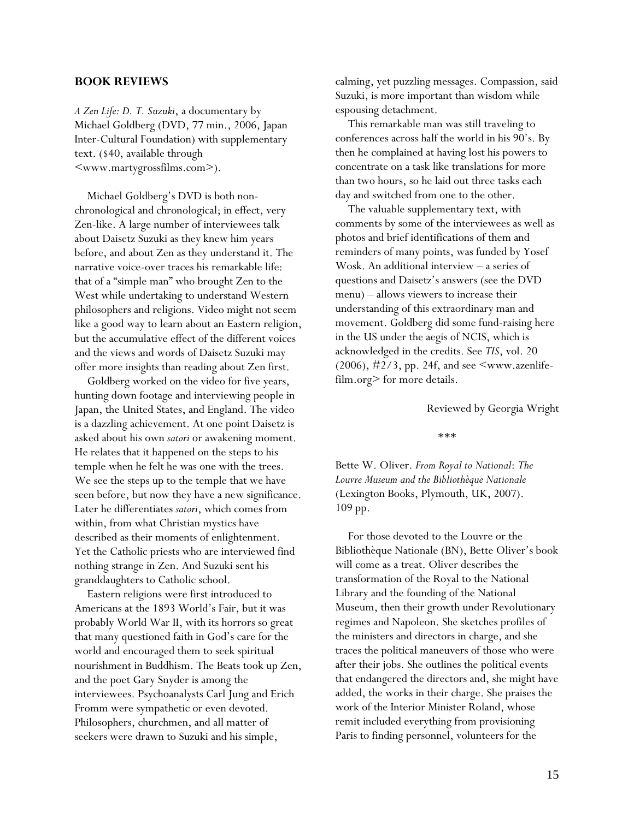#### **BOOK REVIEWS**

*A Zen Life: D. T. Suzuki*, a documentary by Michael Goldberg (DVD, 77 min., 2006, Japan Inter-Cultural Foundation) with supplementary text. (\$40, available through [<www.martygrossfilms.com>](http://www.martygrossfilms.com/)).

Michael Goldberg's DVD is both nonchronological and chronological; in effect, very Zen-like. A large number of interviewees talk about Daisetz Suzuki as they knew him years before, and about Zen as they understand it. The narrative voice-over traces his remarkable life: that of a "simple man" who brought Zen to the West while undertaking to understand Western philosophers and religions. Video might not seem like a good way to learn about an Eastern religion, but the accumulative effect of the different voices and the views and words of Daisetz Suzuki may offer more insights than reading about Zen first.

Goldberg worked on the video for five years, hunting down footage and interviewing people in Japan, the United States, and England. The video is a dazzling achievement. At one point Daisetz is asked about his own *satori* or awakening moment. He relates that it happened on the steps to his temple when he felt he was one with the trees. We see the steps up to the temple that we have seen before, but now they have a new significance. Later he differentiates *satori*, which comes from within, from what Christian mystics have described as their moments of enlightenment. Yet the Catholic priests who are interviewed find nothing strange in Zen. And Suzuki sent his granddaughters to Catholic school.

Eastern religions were first introduced to Americans at the 1893 World's Fair, but it was probably World War II, with its horrors so great that many questioned faith in God's care for the world and encouraged them to seek spiritual nourishment in Buddhism. The Beats took up Zen, and the poet Gary Snyder is among the interviewees. Psychoanalysts Carl Jung and Erich Fromm were sympathetic or even devoted. Philosophers, churchmen, and all matter of seekers were drawn to Suzuki and his simple,

calming, yet puzzling messages. Compassion, said Suzuki, is more important than wisdom while espousing detachment.

This remarkable man was still traveling to conferences across half the world in his 90's. By then he complained at having lost his powers to concentrate on a task like translations for more than two hours, so he laid out three tasks each day and switched from one to the other.

The valuable supplementary text, with comments by some of the interviewees as well as photos and brief identifications of them and reminders of many points, was funded by Yosef Wosk. An additional interview – a series of questions and Daisetz's answers (see the DVD menu) – allows viewers to increase their understanding of this extraordinary man and movement. Goldberg did some fund-raising here in the US under the aegis of NCIS, which is acknowledged in the credits. See *TIS*, vol. 20  $(2006)$ ,  $\#2/3$ , pp. 24f, and see  $\leq$ www.azenlifefilm.org> for more details.

Reviewed by Georgia Wright

\*\*\*

Bette W. Oliver. *From Royal to National*: *The Louvre Museum and the Bibliothèque Nationale*  (Lexington Books, Plymouth, UK, 2007). 109 pp.

For those devoted to the Louvre or the Bibliothèque Nationale (BN), Bette Oliver's book will come as a treat. Oliver describes the transformation of the Royal to the National Library and the founding of the National Museum, then their growth under Revolutionary regimes and Napoleon. She sketches profiles of the ministers and directors in charge, and she traces the political maneuvers of those who were after their jobs. She outlines the political events that endangered the directors and, she might have added, the works in their charge. She praises the work of the Interior Minister Roland, whose remit included everything from provisioning Paris to finding personnel, volunteers for the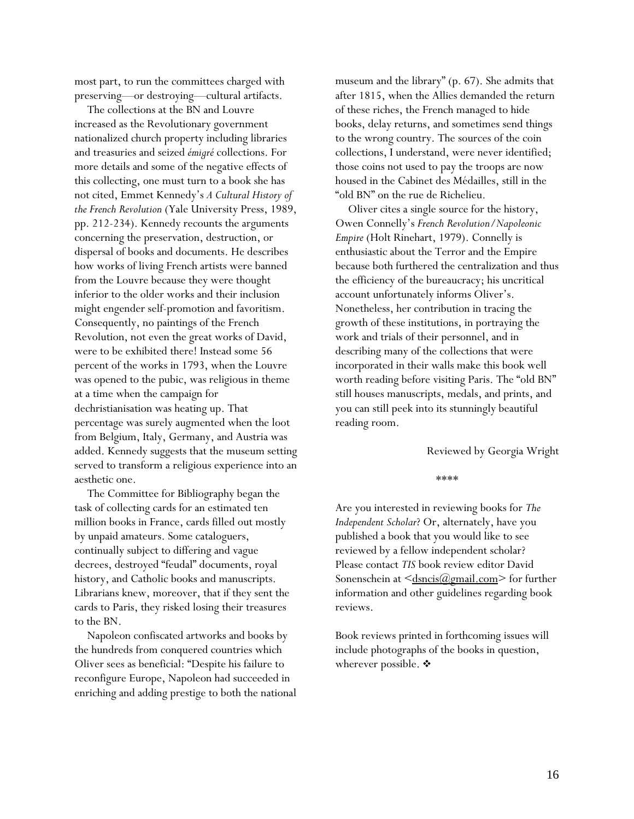most part, to run the committees charged with preserving—or destroying—cultural artifacts.

The collections at the BN and Louvre increased as the Revolutionary government nationalized church property including libraries and treasuries and seized *émigré* collections. For more details and some of the negative effects of this collecting, one must turn to a book she has not cited, Emmet Kennedy's *A Cultural History of the French Revolution* (Yale University Press, 1989, pp. 212-234). Kennedy recounts the arguments concerning the preservation, destruction, or dispersal of books and documents. He describes how works of living French artists were banned from the Louvre because they were thought inferior to the older works and their inclusion might engender self-promotion and favoritism. Consequently, no paintings of the French Revolution, not even the great works of David, were to be exhibited there! Instead some 56 percent of the works in 1793, when the Louvre was opened to the pubic, was religious in theme at a time when the campaign for dechristianisation was heating up. That percentage was surely augmented when the loot from Belgium, Italy, Germany, and Austria was added. Kennedy suggests that the museum setting served to transform a religious experience into an aesthetic one.

The Committee for Bibliography began the task of collecting cards for an estimated ten million books in France, cards filled out mostly by unpaid amateurs. Some cataloguers, continually subject to differing and vague decrees, destroyed "feudal" documents, royal history, and Catholic books and manuscripts. Librarians knew, moreover, that if they sent the cards to Paris, they risked losing their treasures to the BN.

Napoleon confiscated artworks and books by the hundreds from conquered countries which Oliver sees as beneficial: "Despite his failure to reconfigure Europe, Napoleon had succeeded in enriching and adding prestige to both the national museum and the library" (p. 67). She admits that after 1815, when the Allies demanded the return of these riches, the French managed to hide books, delay returns, and sometimes send things to the wrong country. The sources of the coin collections, I understand, were never identified; those coins not used to pay the troops are now housed in the Cabinet des Médailles, still in the "old BN" on the rue de Richelieu.

Oliver cites a single source for the history, Owen Connelly's *French Revolution/Napoleonic Empire* (Holt Rinehart, 1979). Connelly is enthusiastic about the Terror and the Empire because both furthered the centralization and thus the efficiency of the bureaucracy; his uncritical account unfortunately informs Oliver's. Nonetheless, her contribution in tracing the growth of these institutions, in portraying the work and trials of their personnel, and in describing many of the collections that were incorporated in their walls make this book well worth reading before visiting Paris. The "old BN" still houses manuscripts, medals, and prints, and you can still peek into its stunningly beautiful reading room.

#### Reviewed by Georgia Wright

#### \*\*\*\*

Are you interested in reviewing books for *The Independent Scholar*? Or, alternately, have you published a book that you would like to see reviewed by a fellow independent scholar? Please contact *TIS* book review editor David Sonenschein at  $\langle \frac{d_{\text{smcis}}(a_{\text{gmail.com}})}{d_{\text{smic}}(a_{\text{gmail.com}})}$  for further information and other guidelines regarding book reviews.

Book reviews printed in forthcoming issues will include photographs of the books in question, wherever possible.  $\mathbf{\hat{v}}$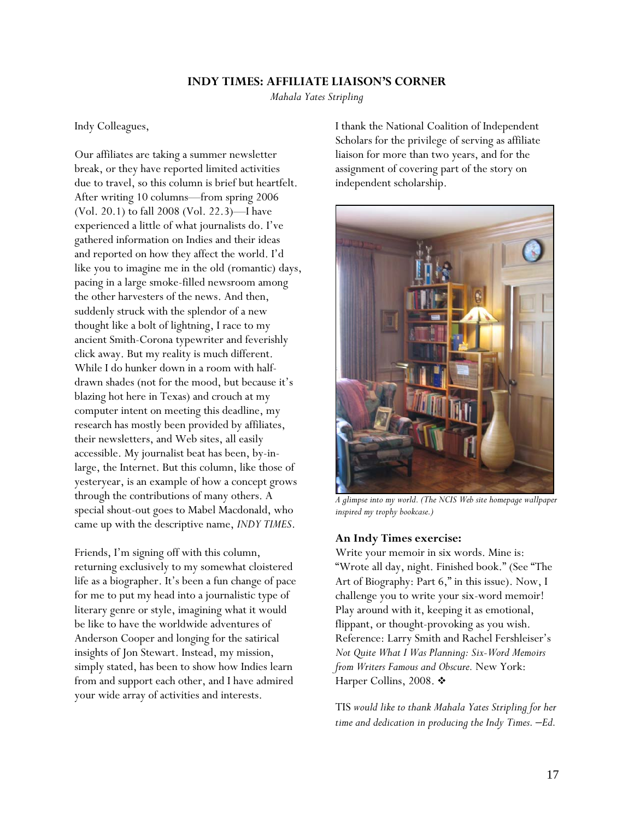### **INDY TIMES: AFFILIATE LIAISON'S CORNER**

*Mahala Yates Stripling*

<span id="page-16-0"></span>Indy Colleagues,

Our affiliates are taking a summer newsletter break, or they have reported limited activities due to travel, so this column is brief but heartfelt. After writing 10 columns—from spring 2006 (Vol. 20.1) to fall 2008 (Vol. 22.3)—I have experienced a little of what journalists do. I've gathered information on Indies and their ideas and reported on how they affect the world. I'd like you to imagine me in the old (romantic) days, pacing in a large smoke-filled newsroom among the other harvesters of the news. And then, suddenly struck with the splendor of a new thought like a bolt of lightning, I race to my ancient Smith-Corona typewriter and feverishly click away. But my reality is much different. While I do hunker down in a room with halfdrawn shades (not for the mood, but because it's blazing hot here in Texas) and crouch at my computer intent on meeting this deadline, my research has mostly been provided by affiliates, their newsletters, and Web sites, all easily accessible. My journalist beat has been, by-inlarge, the Internet. But this column, like those of yesteryear, is an example of how a concept grows through the contributions of many others. A special shout-out goes to Mabel Macdonald, who came up with the descriptive name, *INDY TIMES*.

Friends, I'm signing off with this column, returning exclusively to my somewhat cloistered life as a biographer. It's been a fun change of pace for me to put my head into a journalistic type of literary genre or style, imagining what it would be like to have the worldwide adventures of Anderson Cooper and longing for the satirical insights of Jon Stewart. Instead, my mission, simply stated, has been to show how Indies learn from and support each other, and I have admired your wide array of activities and interests.

I thank the National Coalition of Independent Scholars for the privilege of serving as affiliate liaison for more than two years, and for the assignment of covering part of the story on independent scholarship.



*A glimpse into my world. (The NCIS Web site homepage wallpaper inspired my trophy bookcase.)* 

### **An Indy Times exercise:**

Write your memoir in six words. Mine is: "Wrote all day, night. Finished book." (See "The Art of Biography: Part 6," in this issue). Now, I challenge you to write your six-word memoir! Play around with it, keeping it as emotional, flippant, or thought-provoking as you wish. Reference: Larry Smith and Rachel Fershleiser's *Not Quite What I Was Planning: Six-Word Memoirs from Writers Famous and Obscure.* New York: Harper Collins, 2008.

TIS *would like to thank Mahala Yates Stripling for her time and dedication in producing the Indy Times.* –*Ed.*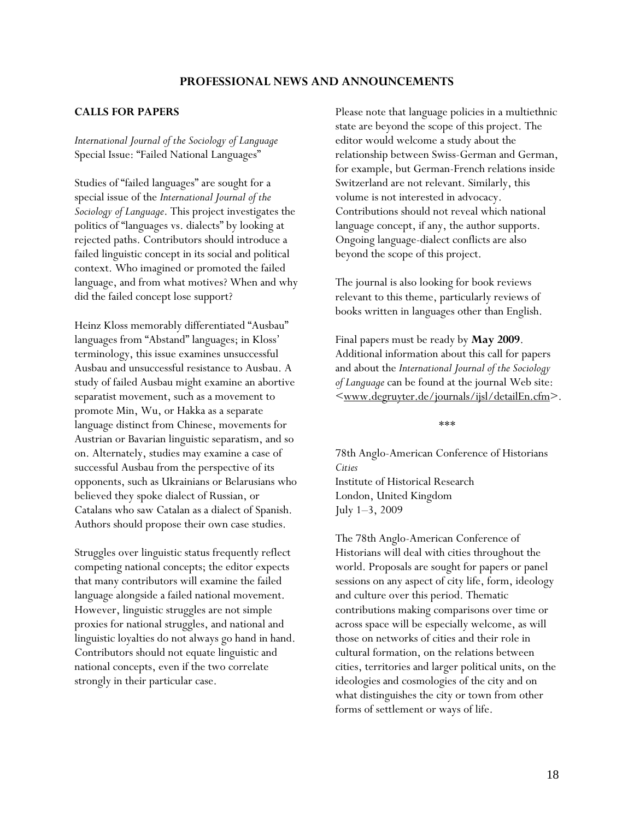### **PROFESSIONAL NEWS AND ANNOUNCEMENTS**

#### <span id="page-17-0"></span>**CALLS FOR PAPERS**

*International Journal of the Sociology of Language*  Special Issue: "Failed National Languages"

Studies of "failed languages" are sought for a special issue of the *International Journal of the Sociology of Language*. This project investigates the politics of "languages vs. dialects" by looking at rejected paths. Contributors should introduce a failed linguistic concept in its social and political context. Who imagined or promoted the failed language, and from what motives? When and why did the failed concept lose support?

Heinz Kloss memorably differentiated "Ausbau" languages from "Abstand" languages; in Kloss' terminology, this issue examines unsuccessful Ausbau and unsuccessful resistance to Ausbau. A study of failed Ausbau might examine an abortive separatist movement, such as a movement to promote Min, Wu, or Hakka as a separate language distinct from Chinese, movements for Austrian or Bavarian linguistic separatism, and so on. Alternately, studies may examine a case of successful Ausbau from the perspective of its opponents, such as Ukrainians or Belarusians who believed they spoke dialect of Russian, or Catalans who saw Catalan as a dialect of Spanish. Authors should propose their own case studies.

Struggles over linguistic status frequently reflect competing national concepts; the editor expects that many contributors will examine the failed language alongside a failed national movement. However, linguistic struggles are not simple proxies for national struggles, and national and linguistic loyalties do not always go hand in hand. Contributors should not equate linguistic and national concepts, even if the two correlate strongly in their particular case.

Please note that language policies in a multiethnic state are beyond the scope of this project. The editor would welcome a study about the relationship between Swiss-German and German, for example, but German-French relations inside Switzerland are not relevant. Similarly, this volume is not interested in advocacy. Contributions should not reveal which national language concept, if any, the author supports. Ongoing language-dialect conflicts are also beyond the scope of this project.

The journal is also looking for book reviews relevant to this theme, particularly reviews of books written in languages other than English.

Final papers must be ready by **May 2009**. Additional information about this call for papers and about the *International Journal of the Sociology of Language* can be found at the journal Web site: [<www.degruyter.de/journals/ijsl/detailEn.cfm](http://www.degruyter.de/journals/ijsl/detailEn.cfm)>.

\*\*\*

78th Anglo-American Conference of Historians *Cities*  Institute of Historical Research London, United Kingdom July 1–3, 2009

The 78th Anglo-American Conference of Historians will deal with cities throughout the world. Proposals are sought for papers or panel sessions on any aspect of city life, form, ideology and culture over this period. Thematic contributions making comparisons over time or across space will be especially welcome, as will those on networks of cities and their role in cultural formation, on the relations between cities, territories and larger political units, on the ideologies and cosmologies of the city and on what distinguishes the city or town from other forms of settlement or ways of life.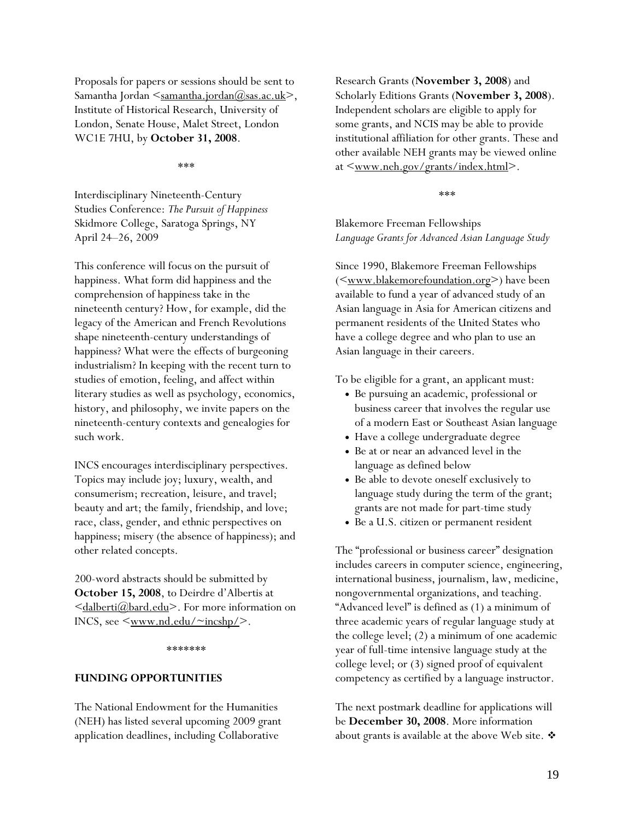Proposals for papers or sessions should be sent to Samantha Jordan [<samantha.jordan@sas.ac.uk](mailto:samantha.jordan@sas.ac.uk)>, Institute of Historical Research, University of London, Senate House, Malet Street, London WC1E 7HU, by **October 31, 2008**.

\*\*\*

Interdisciplinary Nineteenth-Century Studies Conference: *The Pursuit of Happiness* Skidmore College, Saratoga Springs, NY April 24–26, 2009

This conference will focus on the pursuit of happiness. What form did happiness and the comprehension of happiness take in the nineteenth century? How, for example, did the legacy of the American and French Revolutions shape nineteenth-century understandings of happiness? What were the effects of burgeoning industrialism? In keeping with the recent turn to studies of emotion, feeling, and affect within literary studies as well as psychology, economics, history, and philosophy, we invite papers on the nineteenth-century contexts and genealogies for such work.

INCS encourages interdisciplinary perspectives. Topics may include joy; luxury, wealth, and consumerism; recreation, leisure, and travel; beauty and art; the family, friendship, and love; race, class, gender, and ethnic perspectives on happiness; misery (the absence of happiness); and other related concepts.

200-word abstracts should be submitted by **October 15, 2008**, to Deirdre d'Albertis at ≤dalberti@bard.edu>. For more information on INCS, see  $\leq$ www.nd.edu/ $\sim$ incshp/>.

\*\*\*\*\*\*\*

#### **FUNDING OPPORTUNITIES**

The National Endowment for the Humanities (NEH) has listed several upcoming 2009 grant application deadlines, including Collaborative

Research Grants (**November 3, 2008**) and Scholarly Editions Grants (**November 3, 2008**). Independent scholars are eligible to apply for some grants, and NCIS may be able to provide institutional affiliation for other grants. These and other available NEH grants may be viewed online at <www.neh.gov/grants/index.html>.

\*\*\*

Blakemore Freeman Fellowships *Language Grants for Advanced Asian Language Study* 

Since 1990, Blakemore Freeman Fellowships (<<u>www.blakemorefoundation.or</u>g>) have been available to fund a year of advanced study of an Asian language in Asia for American citizens and permanent residents of the United States who have a college degree and who plan to use an Asian language in their careers.

To be eligible for a grant, an applicant must:

- Be pursuing an academic, professional or business career that involves the regular use of a modern East or Southeast Asian language
- Have a college undergraduate degree
- Be at or near an advanced level in the language as defined below
- Be able to devote oneself exclusively to language study during the term of the grant; grants are not made for part-time study
- Be a U.S. citizen or permanent resident

The "professional or business career" designation includes careers in computer science, engineering, international business, journalism, law, medicine, nongovernmental organizations, and teaching. "Advanced level" is defined as (1) a minimum of three academic years of regular language study at the college level; (2) a minimum of one academic year of full-time intensive language study at the college level; or (3) signed proof of equivalent competency as certified by a language instructor.

The next postmark deadline for applications will be **December 30, 2008**. More information about grants is available at the above Web site. ❖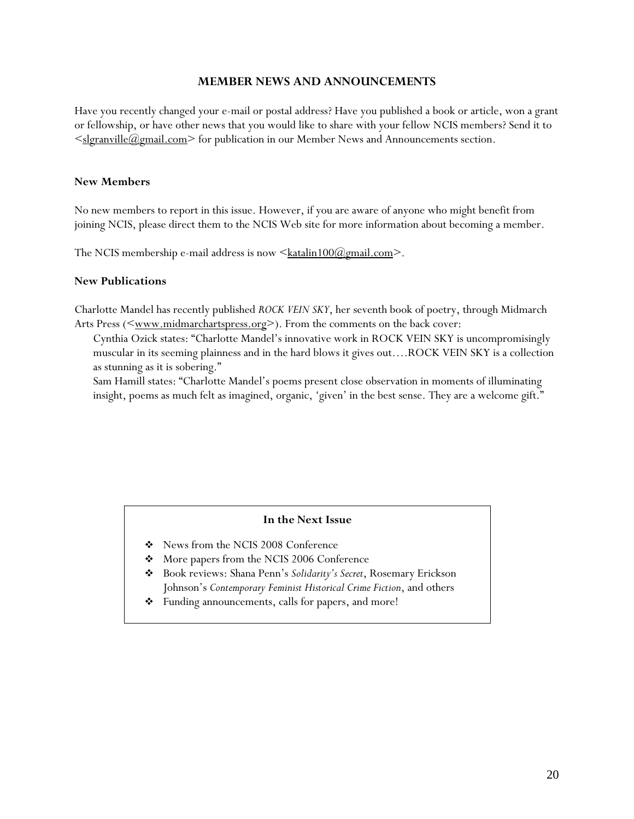### **MEMBER NEWS AND ANNOUNCEMENTS**

<span id="page-19-0"></span>Have you recently changed your e-mail or postal address? Have you published a book or article, won a grant or fellowship, or have other news that you would like to share with your fellow NCIS members? Send it to  $\leq$ slgranville@gmail.com> for publication in our Member News and Announcements section.

#### **New Members**

No new members to report in this issue. However, if you are aware of anyone who might benefit from joining NCIS, please direct them to the NCIS Web site for more information about becoming a member.

The NCIS membership e-mail address is now  $\leq$  katalin100( $\omega$ gmail.com $\geq$ .

#### **New Publications**

Charlotte Mandel has recently published *ROCK VEIN SKY*, her seventh book of poetry, through Midmarch Arts Press ([<www.midmarchartspress.org>](http://www.midmarchartspress.org/)). From the comments on the back cover:

Cynthia Ozick states: "Charlotte Mandel's innovative work in ROCK VEIN SKY is uncompromisingly muscular in its seeming plainness and in the hard blows it gives out….ROCK VEIN SKY is a collection as stunning as it is sobering."

Sam Hamill states: "Charlotte Mandel's poems present close observation in moments of illuminating insight, poems as much felt as imagined, organic, 'given' in the best sense. They are a welcome gift."

### **In the Next Issue**

- News from the NCIS 2008 Conference
- $\div$  More papers from the NCIS 2006 Conference
- Book reviews: Shana Penn's *Solidarity's Secret*, Rosemary Erickson Johnson's *Contemporary Feminist Historical Crime Fiction*, and others
- Funding announcements, calls for papers, and more!